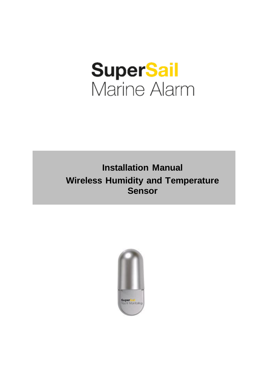# **SuperSail**<br>Marine Alarm

## **Installation Manual Wireless Humidity and Temperature Sensor**

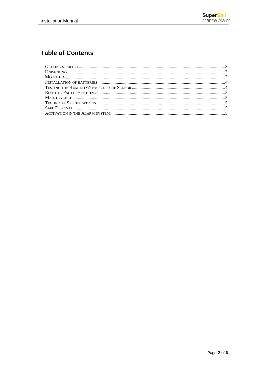### **Table of Contents**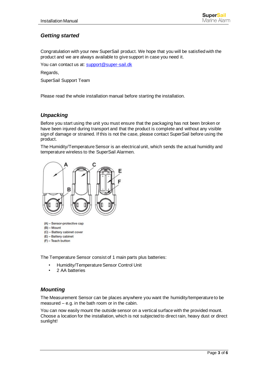#### <span id="page-2-0"></span>*Getting started*

Congratulation with your new SuperSail product. We hope that you will be satisfied with the product and we are always available to give support in case you need it.

You can contact us at: [support@super-sail.dk](mailto:support@super-sail.dk)

Regards,

SuperSail Support Team

Please read the whole installation manual before starting the installation.

#### <span id="page-2-1"></span>*Unpacking*

Before you start using the unit you must ensure that the packaging has not been broken or have been injured during transport and that the product is complete and without any visible sign of damage or strained. If this is not the case, please contact SuperSail before using the product.

The Humidity/Temperature Sensor is an electrical unit, which sends the actual humidity and temperature wireless to the SuperSail Alarmen.



- (A) Sensor-protective cap
- $(B)$  Mount
- (C) Battery cabinet cover
- (E) Battery cabinet (F) - Teach button

The Temperature Sensor consist of 1 main parts plus batteries:

• Humidity/Temperature Sensor Control Unit

• 2 AA batteries

#### <span id="page-2-2"></span>*Mounting*

The Measurement Sensor can be places anywhere you want the humidity/temperature to be measured – e.g. in the bath room or in the cabin.

You can now easily mount the outside sensor on a vertical surface with the provided mount. Choose a location for the installation, which is not subjected to direct rain, heavy dust or direct sunlight!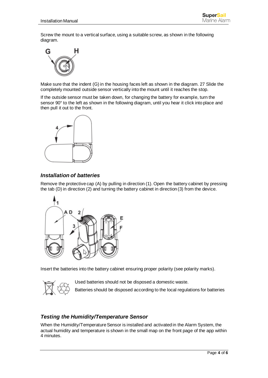Screw the mount to a vertical surface, using a suitable screw, as shown in the following diagram.



Make sure that the indent (G) in the housing faces left as shown in the diagram. 27 Slide the completely mounted outside sensor vertically into the mount until it reaches the stop.

If the outside sensor must be taken down, for changing the battery for example, turn the sensor 90° to the left as shown in the following diagram, until you hear it click into place and then pull it out to the front.



#### <span id="page-3-0"></span>*Installation of batteries*

Remove the protective cap (A) by pulling in direction (1). Open the battery cabinet by pressing the tab (D) in direction (2) and turning the battery cabinet in direction (3) from the device.



Insert the batteries into the battery cabinet ensuring proper polarity (see polarity marks).



Used batteries should not be disposed a domestic waste. Batteries should be disposed according to the local regulations for batteries

#### <span id="page-3-1"></span>*Testing the Humidity/Temperature Sensor*

When the Humidity/Temperature Sensor is installed and activated in the Alarm System, the actual humidity and temperature is shown in the small map on the front page of the app within 4 minutes.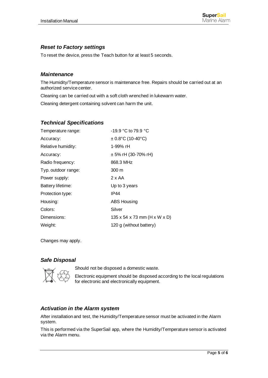#### <span id="page-4-0"></span>*Reset to Factory settings*

To reset the device, press the Teach button for at least 5 seconds.

#### <span id="page-4-1"></span>*Maintenance*

The Humidity/Temperature sensor is maintenance free. Repairs should be carried out at an authorized service center.

Cleaning can be carried out with a soft cloth wrenched in lukewarm water.

Cleaning detergent containing solvent can harm the unit.

#### <span id="page-4-2"></span>*Technical Specifications*

| Temperature range:  | -19.9 °C to 79.9 °C                        |
|---------------------|--------------------------------------------|
| Accuracy:           | $\pm$ 0.8°C (10-40°C)                      |
| Relative humidity:  | 1-99% rH                                   |
| Accuracy:           | $\pm$ 5% rH (30-70% rH)                    |
| Radio frequency:    | 868.3 MHz                                  |
| Typ. outdoor range: | $300 \text{ m}$                            |
| Power supply:       | 2 x AA                                     |
| Battery lifetime:   | Up to 3 years                              |
| Protection type:    | IP44                                       |
| Housing:            | <b>ABS Housing</b>                         |
| Colors:             | Silver                                     |
| Dimensions:         | 135 x 54 x 73 mm ( $H \times W \times D$ ) |
| Weight:             | 120 g (without battery)                    |

Changes may apply.

#### <span id="page-4-3"></span>*Safe Disposal*



Should not be disposed a domestic waste.

Electronic equipment should be disposed according to the local regulations for electronic and electronically equipment.

#### <span id="page-4-4"></span>*Activation in the Alarm system*

After installation and test, the Humidity/Temperature sensor must be activated in the Alarm system.

This is performed via the SuperSail app, where the Humidity/Temperature sensor is activated via the Alarm menu.